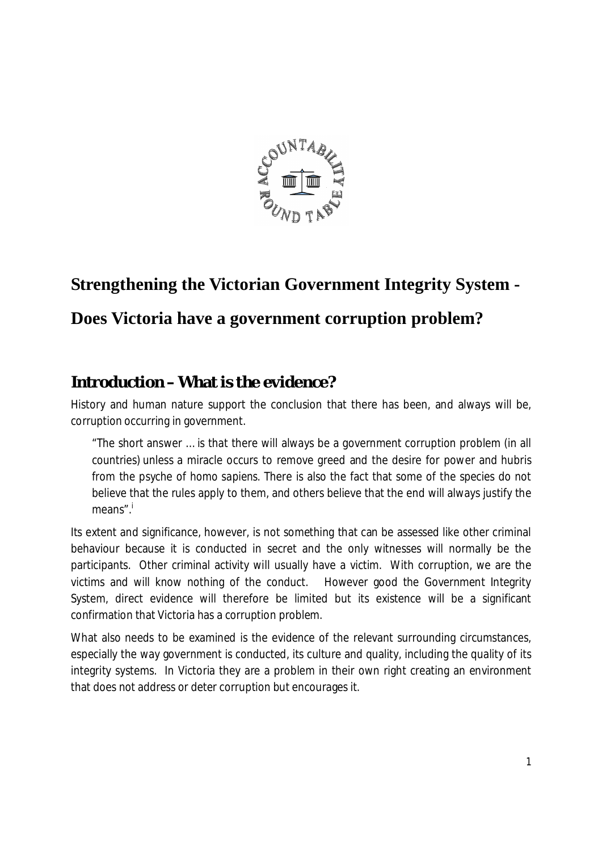

# **Strengthening the Victorian Government Integrity System -**

## **Does Victoria have a government corruption problem?**

### **Introduction – What is the evidence***?*

History and human nature support the conclusion that there has been, and always will be, corruption occurring in government.

"The short answer … is that there will always be a government corruption problem (in all countries) unless a miracle occurs to remove greed and the desire for power and hubris from the psyche of *homo sapiens*. There is also the fact that some of the species do not believe that the rules apply to them, and others believe that the end will always justify the means".<sup>i</sup>

Its extent and significance, however, is not something that can be assessed like other criminal behaviour because it is conducted in secret and the only witnesses will normally be the participants. Other criminal activity will usually have a victim. With corruption, we are the victims and will know nothing of the conduct. However good the Government Integrity System, direct evidence will therefore be limited but its existence will be a significant confirmation that Victoria has a corruption problem.

What also needs to be examined is the evidence of the relevant surrounding circumstances, especially the way government is conducted, its culture and quality, including the quality of its integrity systems. In Victoria they are a problem in their own right creating an environment that does not address or deter corruption but encourages it.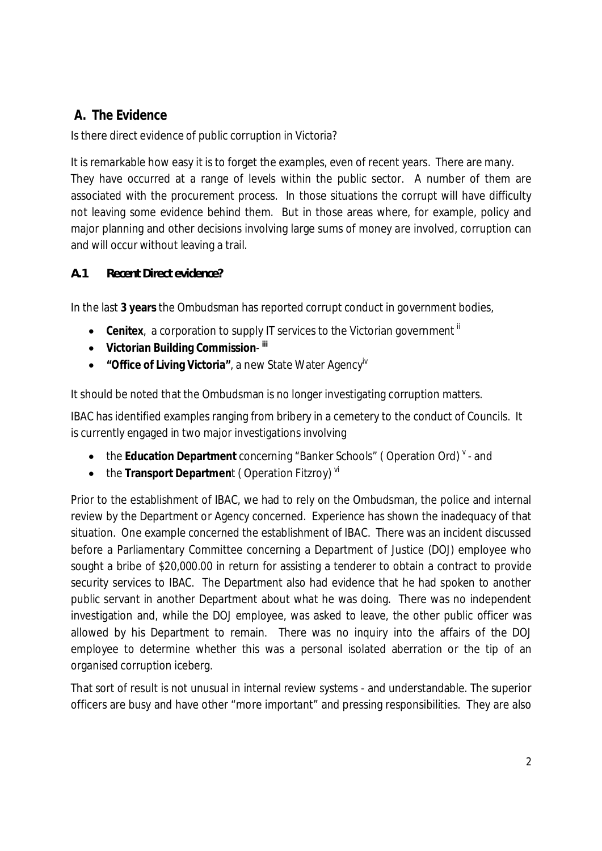#### **A. The Evidence**

Is there direct evidence of public corruption in Victoria?

It is remarkable how easy it is to forget the examples, even of recent years. There are many. They have occurred at a range of levels within the public sector. A number of them are associated with the procurement process. In those situations the corrupt will have difficulty not leaving some evidence behind them. But in those areas where, for example, policy and major planning and other decisions involving large sums of money are involved, corruption can and will occur without leaving a trail.

*A.1 Recent Direct evidence?*

In the last **3 years** the Ombudsman has reported corrupt conduct in government bodies,

- Cenitex, a corporation to supply IT services to the Victorian government if
- · **Victorian Building Commission iii**
- · **"Office of Living Victoria"**, a new State Water Agencyiv

It should be noted that the Ombudsman is no longer investigating corruption matters.

IBAC has identified examples ranging from bribery in a cemetery to the conduct of Councils. It is currently engaged in two major investigations involving

- the Education Department concerning "Banker Schools" (Operation Ord) <sup>v</sup> and
- the Transport Department (Operation Fitzroy)<sup>vi</sup>

Prior to the establishment of IBAC, we had to rely on the Ombudsman, the police and internal review by the Department or Agency concerned. Experience has shown the inadequacy of that situation. One example concerned the establishment of IBAC. There was an incident discussed before a Parliamentary Committee concerning a Department of Justice (DOJ) employee who sought a bribe of \$20,000.00 in return for assisting a tenderer to obtain a contract to provide security services to IBAC. The Department also had evidence that he had spoken to another public servant in another Department about what he was doing. There was no independent investigation and, while the DOJ employee, was asked to leave, the other public officer was allowed by his Department to remain. There was no inquiry into the affairs of the DOJ employee to determine whether this was a personal isolated aberration or the tip of an organised corruption iceberg.

That sort of result is not unusual in internal review systems - and understandable. The superior officers are busy and have other "more important" and pressing responsibilities. They are also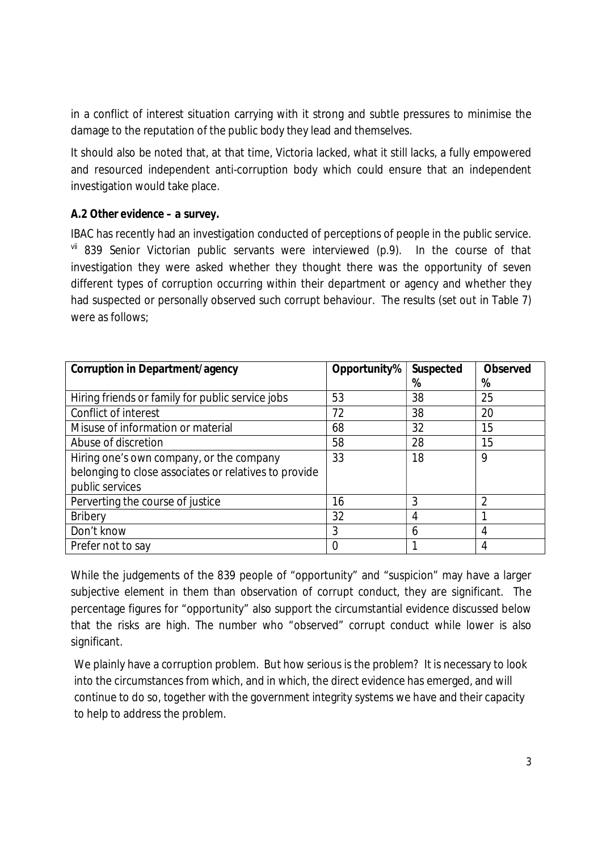in a conflict of interest situation carrying with it strong and subtle pressures to minimise the damage to the reputation of the public body they lead and themselves.

It should also be noted that, at that time, Victoria lacked, what it still lacks, a fully empowered and resourced independent anti-corruption body which could ensure that an independent investigation would take place.

#### *A.2 Other evidence – a survey***.**

IBAC has recently had an investigation conducted of perceptions of people in the public service. vii 839 Senior Victorian public servants were interviewed (p.9). In the course of that investigation they were asked whether they thought there was the opportunity of seven different types of corruption occurring within their department or agency and whether they had suspected or personally observed such corrupt behaviour. The results (set out in Table 7) were as follows;

| Corruption in Department/agency                       | Opportunity% | Suspected | Observed |
|-------------------------------------------------------|--------------|-----------|----------|
|                                                       |              | %         | %        |
| Hiring friends or family for public service jobs      | 53           | 38        | 25       |
| Conflict of interest                                  | 72           | 38        | 20       |
| Misuse of information or material                     | 68           | 32        | 15       |
| Abuse of discretion                                   | 58           | 28        | 15       |
| Hiring one's own company, or the company              | 33           | 18        | 9        |
| belonging to close associates or relatives to provide |              |           |          |
| public services                                       |              |           |          |
| Perverting the course of justice                      | 16           | 3         | 2        |
| <b>Bribery</b>                                        | 32           | 4         |          |
| Don't know                                            | 3            | 6         | 4        |
| Prefer not to say                                     | 0            |           | 4        |

While the judgements of the 839 people of "opportunity" and "suspicion" may have a larger subjective element in them than observation of corrupt conduct, they are significant. The percentage figures for "opportunity" also support the circumstantial evidence discussed below that the risks are high. The number who "observed" corrupt conduct while lower is also significant.

We plainly have a corruption problem. But how serious is the problem? It is necessary to look into the circumstances from which, and in which, the direct evidence has emerged, and will continue to do so, together with the government integrity systems we have and their capacity to help to address the problem.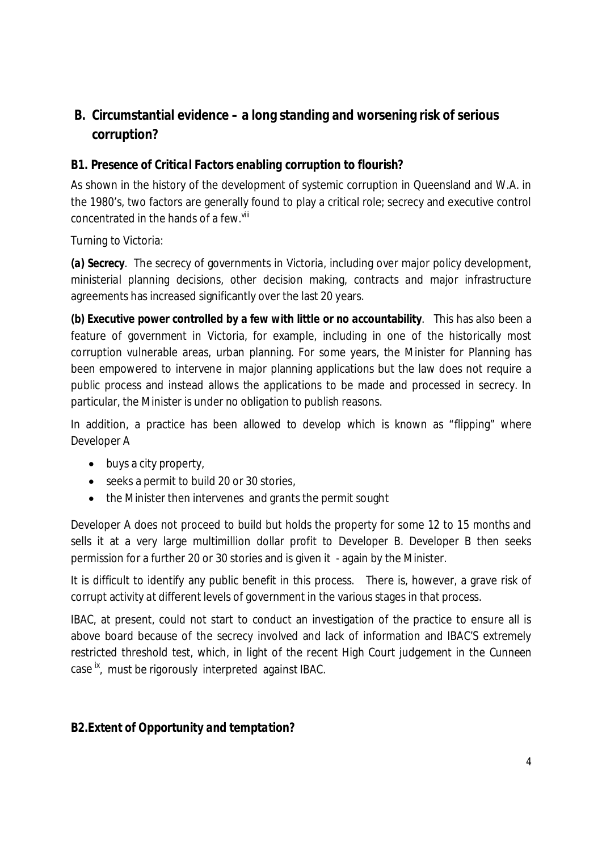### **B. Circumstantial evidence – a long standing and worsening risk of serious corruption?**

#### *B1. Presence of Critical Factors enabling corruption to flourish?*

As shown in the history of the development of systemic corruption in Queensland and W.A. in the 1980's, two factors are generally found to play a critical role; secrecy and executive control concentrated in the hands of a few. Vill

#### Turning to Victoria:

*(a) Secrecy*. The secrecy of governments in Victoria, including over major policy development, ministerial planning decisions, other decision making, contracts and major infrastructure agreements has increased significantly over the last 20 years.

*(b)* **Executive power controlled by a few with little or no accountability**. This has also been a feature of government in Victoria, for example, including in one of the historically most corruption vulnerable areas, urban planning. For some years, the Minister for Planning has been empowered to intervene in major planning applications but the law does not require a public process and instead allows the applications to be made and processed in secrecy. In particular, the Minister is under no obligation to publish reasons.

In addition, a practice has been allowed to develop which is known as "flipping" where Developer A

- buys a city property,
- · seeks a permit to build 20 or 30 stories,
- the Minister then intervenes and grants the permit sought

Developer A does not proceed to build but holds the property for some 12 to 15 months and sells it at a very large multimillion dollar profit to Developer B. Developer B then seeks permission for a further 20 or 30 stories and is given it - again by the Minister.

It is difficult to identify any public benefit in this process. There is, however, a grave risk of corrupt activity at different levels of government in the various stages in that process.

IBAC, at present, could not start to conduct an investigation of the practice to ensure all is above board because of the secrecy involved and lack of information and IBAC'S extremely restricted threshold test, which, in light of the recent High Court judgement in the *Cunneen* case ix, must be rigorously interpreted against IBAC.

*B2.Extent of Opportunity and temptation?*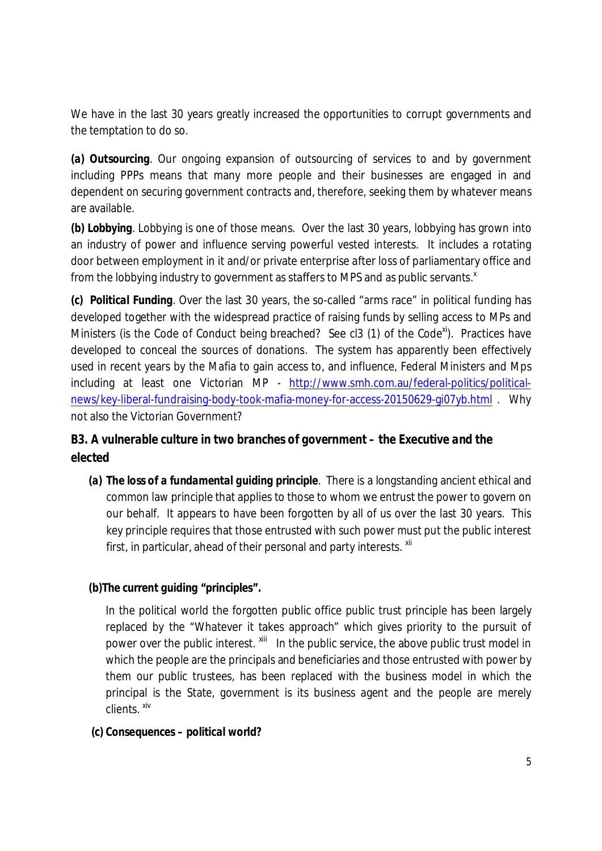We have in the last 30 years greatly increased the opportunities to corrupt governments and the temptation to do so.

*(a) Outsourcing.* Our ongoing expansion of outsourcing of services to and by government including PPPs means that many more people and their businesses are engaged in and dependent on securing government contracts and, therefore, seeking them by whatever means are available.

*(b) Lobbying.* Lobbying is one of those means. Over the last 30 years, lobbying has grown into an industry of power and influence serving powerful vested interests. It includes a rotating door between employment in it and/or private enterprise after loss of parliamentary office and from the lobbying industry to government as staffers to MPS and as public servants.<sup>x</sup>

*(c) Political Funding.* Over the last 30 year*s,* the so-called "arms race" in political funding has developed together with the widespread practice of raising funds by selling access to MPs and Ministers (is the Code of Conduct being breached? See cl3 (1) of the Code<sup>xi</sup>). Practices have developed to conceal the sources of donations. The system has apparently been effectively used in recent years by the Mafia to gain access to, and influence, Federal Ministers and Mps including at least one Victorian MP - http://www.smh.com.au/federal-politics/politicalnews/key-liberal-fundraising-body-took-mafia-money-for-access-20150629-gi07yb.html . Why not also the Victorian Government?

*B3. A vulnerable culture in two branches of government – the Executive and the elected*

- *(a) The loss of a fundamental guiding principle*. There is a longstanding ancient ethical and common law principle that applies to those to whom we entrust the power to govern on our behalf. It appears to have been forgotten by all of us over the last 30 years. This key principle requires that those entrusted with such power must put the public interest first, in particular, ahead of their personal and party interests.  $x$ <sup>ii</sup>
- *(b)The current guiding "principles".*

In the political world the forgotten public office public trust principle has been largely replaced by the "Whatever it takes approach" which gives priority to the pursuit of power over the public interest.  $x$ <sup>iii</sup> In the public service, the above public trust model in which the people are the principals and beneficiaries and those entrusted with power by them our public trustees, has been replaced with the business model in which the principal is the State, government is its business agent and the people are merely clients. xiv

 *(c) Consequences – political world?*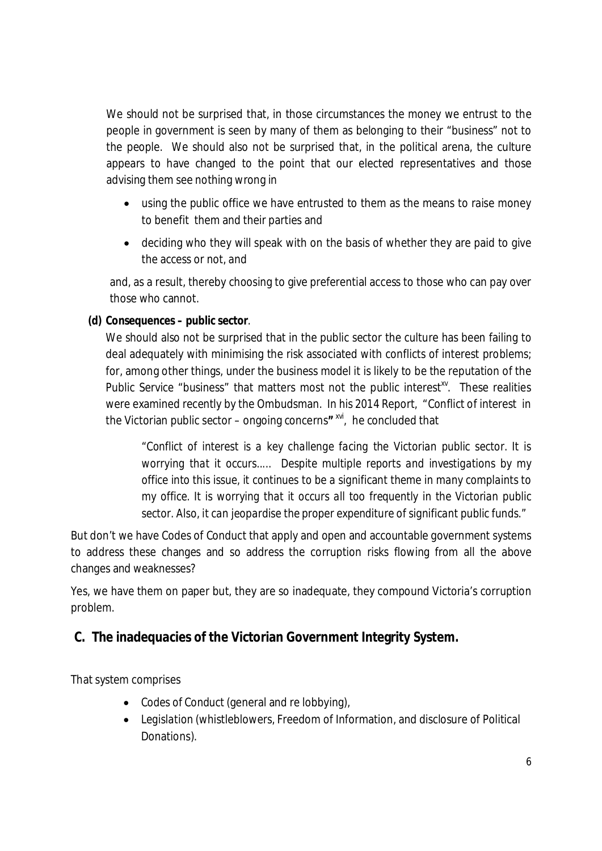We should not be surprised that, in those circumstances the money we entrust to the people in government is seen by many of them as belonging to their "business" not to the people. We should also not be surprised that, in the political arena, the culture appears to have changed to the point that our elected representatives and those advising them see nothing wrong in

- · using the public office we have entrusted to them as the means to raise money to benefit them and their parties and
- · deciding who they will speak with on the basis of whether they are paid to give the access or not, and

and, as a result, thereby choosing to give preferential access to those who can pay over those who cannot.

*(d) Consequences – public sector*.

We should also not be surprised that in the public sector the culture has been failing to deal adequately with minimising the risk associated with conflicts of interest problems; for, among other things, under the business model it is likely to be the reputation of the Public Service "business" that matters most not the public interest<sup>xy</sup>. These realities were examined recently by the Ombudsman. In his 2014 Report, "Conflict of interest in the Victorian public sector – ongoing concerns**"** xvi, he concluded that

*"Conflict of interest is a key challenge facing the Victorian public sector. It is worrying that it occurs..... Despite multiple reports and investigations by my office into this issue, it continues to be a significant theme in many complaints to my office. It is worrying that it occurs all too frequently in the Victorian public sector. Also, it can jeopardise the proper expenditure of significant public funds."*

But don't we have Codes of Conduct that apply and open and accountable government systems to address these changes and so address the corruption risks flowing from all the above changes and weaknesses?

Yes, we have them on paper but, they are so inadequate, they compound Victoria's corruption problem.

**C. The inadequacies of the Victorian Government Integrity System.**

That system comprises

- · *Codes of Conduct* (general and re lobbying),
- · *Legislation* (whistleblowers, Freedom of Information, and disclosure of Political Donations).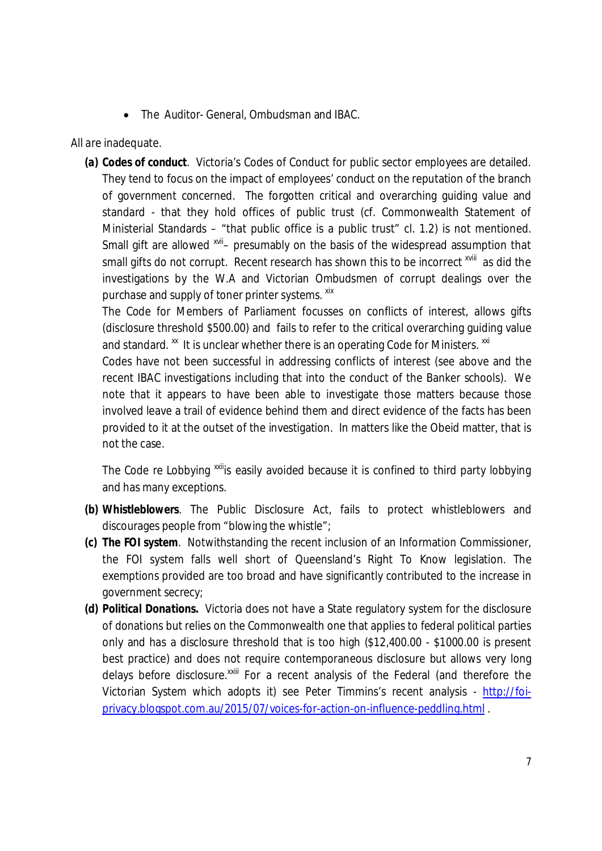· The *Auditor- General*, *Ombudsman* and *IBAC*.

All are inadequate.

*(a) Codes of conduct*. Victoria's Codes of Conduct for public sector employees are detailed. They tend to focus on the impact of employees' conduct on the reputation of the branch of government concerned. The forgotten critical and overarching guiding value and standard - that they hold offices of public trust (cf. Commonwealth Statement of Ministerial Standards – "that public office is a public trust" cl. 1.2) is not mentioned. Small gift are allowed  $x$ <sup>vii</sup>- presumably on the basis of the widespread assumption that small gifts do not corrupt. Recent research has shown this to be incorrect <sup>xviii</sup> as did the investigations by the W.A and Victorian Ombudsmen of corrupt dealings over the purchase and supply of toner printer systems. xix

The Code for Members of Parliament focusses on conflicts of interest, allows gifts (disclosure threshold \$500.00) and fails to refer to the critical overarching guiding value and standard.  $\frac{x}{x}$  It is unclear whether there is an operating Code for Ministers.  $\frac{x}{x}$ 

Codes have not been successful in addressing conflicts of interest (see above and the recent IBAC investigations including that into the conduct of the Banker schools). We note that it appears to have been able to investigate those matters because those involved leave a trail of evidence behind them and direct evidence of the facts has been provided to it at the outset of the investigation. In matters like the Obeid matter, that is not the case.

The Code re Lobbying <sup>xxii</sup>is easily avoided because it is confined to third party lobbying and has many exceptions.

- *(b) Whistleblowers*. The Public Disclosure Act, fails to protect whistleblowers and discourages people from "blowing the whistle";
- *(c) The FOI system*. Notwithstanding the recent inclusion of an Information Commissioner, the FOI system falls well short of Queensland's Right To Know legislation. The exemptions provided are too broad and have significantly contributed to the increase in government secrecy;
- *(d) Political Donations.* Victoria does not have a State regulatory system for the disclosure of donations but relies on the Commonwealth one that applies to federal political parties only and has a disclosure threshold that is too high (\$12,400.00 - \$1000.00 is present best practice) and does not require contemporaneous disclosure but allows very long delays before disclosure.<sup>XXIII</sup> For a recent analysis of the Federal (and therefore the Victorian System which adopts it) see Peter Timmins's recent analysis - http://foiprivacy.blogspot.com.au/2015/07/voices-for-action-on-influence-peddling.html .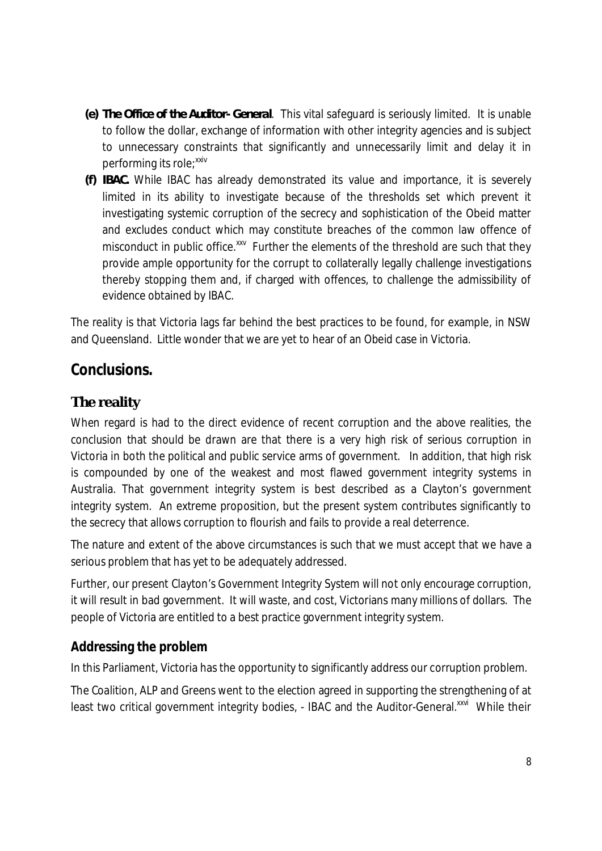- *(e) The Office of the Auditor- General*. This vital safeguard is seriously limited. It is unable to follow the dollar, exchange of information with other integrity agencies and is subject to unnecessary constraints that significantly and unnecessarily limit and delay it in performing its role:<sup>xxiv</sup>
- *(f) IBAC.* While IBAC has already demonstrated its value and importance, it is severely limited in its ability to investigate because of the thresholds set which prevent it investigating systemic corruption of the secrecy and sophistication of the Obeid matter and excludes conduct which may constitute breaches of the common law offence of misconduct in public office.<sup>xxv</sup> Further the elements of the threshold are such that they provide ample opportunity for the corrupt to collaterally legally challenge investigations thereby stopping them and, if charged with offences, to challenge the admissibility of evidence obtained by IBAC.

The reality is that Victoria lags far behind the best practices to be found, for example, in NSW and Queensland. Little wonder that we are yet to hear of an Obeid case in Victoria.

#### **Conclusions.**

#### **The reality**

When regard is had to the direct evidence of recent corruption and the above realities, the conclusion that should be drawn are that there is a very high risk of serious corruption in Victoria in both the political and public service arms of government. In addition, that high risk is compounded by one of the weakest and most flawed government integrity systems in Australia. That government integrity system is best described as a Clayton's government integrity system. An extreme proposition, but the present system contributes significantly to the secrecy that allows corruption to flourish and fails to provide a real deterrence.

The nature and extent of the above circumstances is such that we must accept that we have a serious problem that has yet to be adequately addressed.

Further, our present Clayton's Government Integrity System will not only encourage corruption, it will result in bad government. It will waste, and cost, Victorians many millions of dollars. The people of Victoria are entitled to a best practice government integrity system.

#### **Addressing the problem**

In this Parliament, Victoria has the opportunity to significantly address our corruption problem.

The Coalition, ALP and Greens went to the election agreed in supporting the strengthening of at least two critical government integrity bodies, - IBAC and the Auditor-General.<sup>xxvi</sup> While their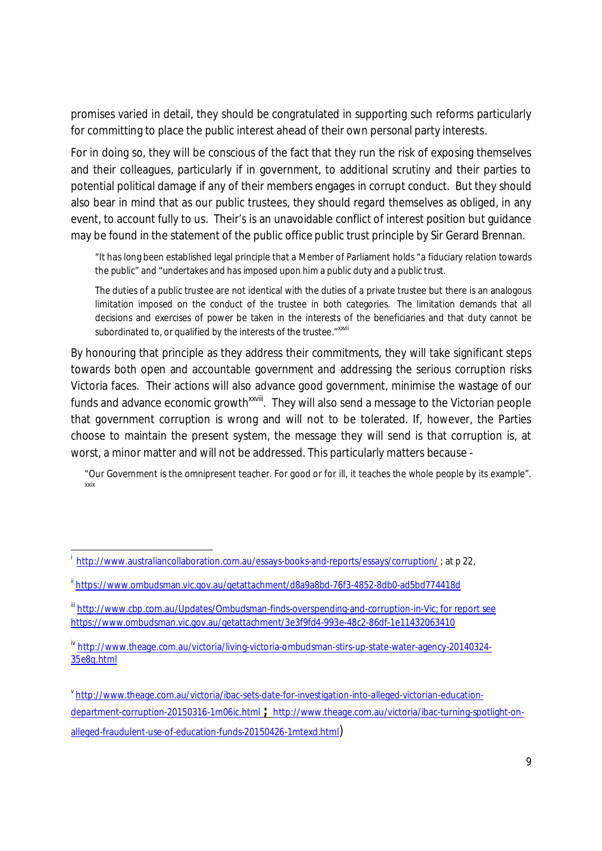promises varied in detail, they should be congratulated in supporting such reforms particularly for committing to place the public interest ahead of their own personal party interests.

For in doing so, they will be conscious of the fact that they run the risk of exposing themselves and their colleagues, particularly if in government, to additional scrutiny and their parties to potential political damage if any of their members engages in corrupt conduct. But they should also bear in mind that as our public trustees, they should regard themselves as obliged, in any event, to account fully to us. Their's is an unavoidable conflict of interest position but guidance may be found in the statement of the public office public trust principle by Sir Gerard Brennan.

"It has long been established legal principle that a Member of Parliament holds "a fiduciary relation towards the public" and "undertakes and has imposed upon him a public duty and a public trust.

The duties of a public trustee are not identical with the duties of a private trustee but there is an analogous limitation imposed on the conduct of the trustee in both categories. The limitation demands that all decisions and exercises of power be taken in the interests of the beneficiaries and that duty cannot be subordinated to, or qualified by the interests of the trustee." xxvii

By honouring that principle as they address their commitments, they will take significant steps towards both open and accountable government and addressing the serious corruption risks Victoria faces. Their actions will also advance good government, minimise the wastage of our funds and advance economic growth<sup>xxviii</sup>. They will also send a message to the Victorian people that government corruption is wrong and will not to be tolerated. If, however, the Parties choose to maintain the present system, the message they will send is that corruption is, at worst, a minor matter and will not be addressed. This particularly matters because -

"Our Government is the omnipresent teacher. For good or for ill, it teaches the whole people by its example". xxix

<sup>&</sup>lt;sup>i</sup>http://www.australiancollaboration.com.au/essays-books-and-reports/essays/corruption/ ; at p 22,

ii https://www.ombudsman.vic.gov.au/getattachment/d8a9a8bd-76f3-4852-8db0-ad5bd774418d

iii http://www.cbp.com.au/Updates/Ombudsman-finds-overspending-and-corruption-in-Vic; for report see https://www.ombudsman.vic.gov.au/getattachment/3e3f9fd4-993e-48c2-86df-1e11432063410

iv http://www.theage.com.au/victoria/living-victoria-ombudsman-stirs-up-state-water-agency-20140324- 35e8q.html

vhttp://www.theage.com.au/victoria/ibac-sets-date-for-investigation-into-alleged-victorian-educationdepartment-corruption-20150316-1m06ic.html **;** http://www.theage.com.au/victoria/ibac-turning-spotlight-onalleged-fraudulent-use-of-education-funds-20150426-1mtexd.html)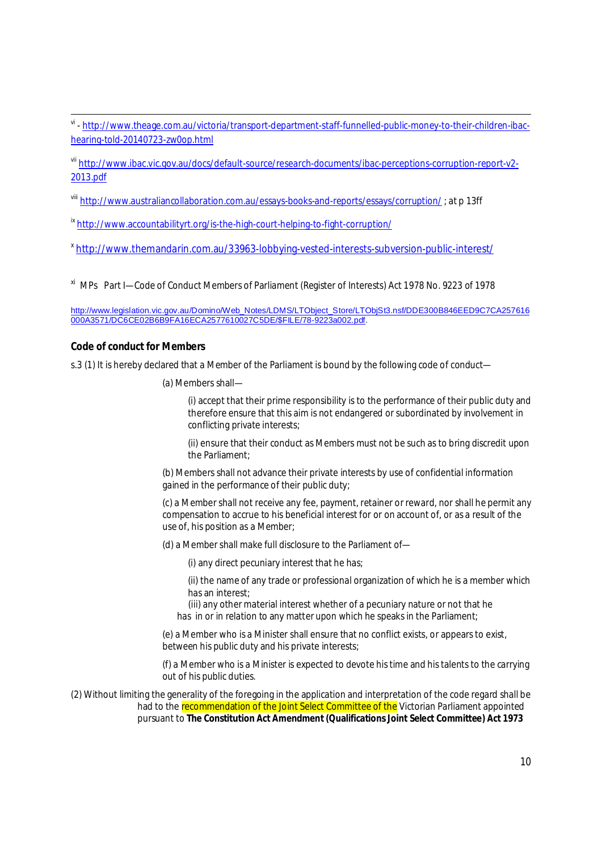<sup>vi</sup> - <u>http://www.theage.com.au/victoria/transport-department-staff-funnelled-public-money-to-their-children-ibac-</u> hearing-told-20140723-zw0op.html

vii http://www.ibac.vic.gov.au/docs/default-source/research-documents/ibac-perceptions-corruption-report-v2-2013.pdf

viii http://www.australiancollaboration.com.au/essays-books-and-reports/essays/corruption/ ; at p 13ff

ix http://www.accountabilityrt.org/is-the-high-court-helping-to-fight-corruption/

<sup>x</sup> http://www.themandarin.com.au/33963-lobbying-vested-interests-subversion-public-interest/

xi MPs Part I—Code of Conduct Members of Parliament (Register of Interests) Act 1978 No. 9223 of 1978

http://www.legislation.vic.gov.au/Domino/Web\_Notes/LDMS/LTObject\_Store/LTObjSt3.nsf/DDE300B846EED9C7CA257616 000A3571/DC6CE02B6B9FA16ECA2577610027C5DE/\$FILE/78-9223a002.pdf.

#### **Code of conduct for Members**

s.3 (1) It is hereby declared that a Member of the Parliament is bound by the following code of conduct—

(a) Members shall—

(i) accept that their prime responsibility is to the performance of their public duty and therefore ensure that this aim is not endangered or subordinated by involvement in conflicting private interests;

(ii) ensure that their conduct as Members must not be such as to bring discredit upon the Parliament;

(b) Members shall not advance their private interests by use of confidential information gained in the performance of their public duty;

(c) a Member shall not receive any fee, payment, retainer or reward, nor shall he permit any compensation to accrue to his beneficial interest for or on account of, or as a result of the use of, his position as a Member;

(d) a Member shall make full disclosure to the Parliament of—

(i) any direct pecuniary interest that he has;

(ii) the name of any trade or professional organization of which he is a member which has an interest;

 (iii) any other material interest whether of a pecuniary nature or not that he has in or in relation to any matter upon which he speaks in the Parliament;

(e) a Member who is a Minister shall ensure that no conflict exists, or appears to exist, between his public duty and his private interests;

(f) a Member who is a Minister is expected to devote his time and his talents to the carrying out of his public duties.

(2) Without limiting the generality of the foregoing in the application and interpretation of the code regard shall be had to the recommendation of the Joint Select Committee of the Victorian Parliament appointed pursuant to **The Constitution Act Amendment (Qualifications Joint Select Committee) Act 1973**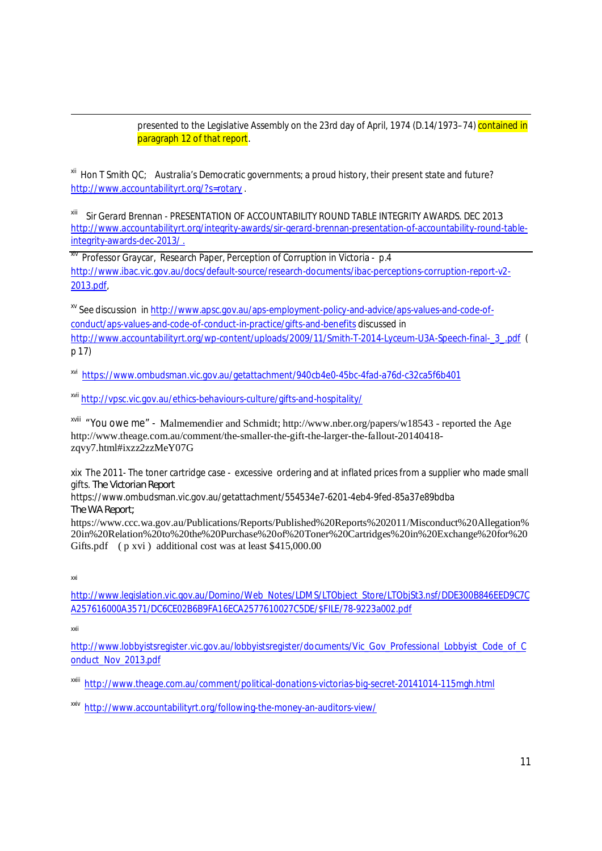presented to the Legislative Assembly on the 23rd day of April, 1974 (D.14/1973-74) contained in paragraph 12 of that report.

xii Hon T Smith QC; Australia's Democratic governments; a proud history, their present state and future? http://www.accountabilityrt.org/?s=rotary .

xiii Sir Gerard Brennan - PRESENTATION OF ACCOUNTABILITY ROUND TABLE INTEGRITY AWARDS. DEC 201*3* http://www.accountabilityrt.org/integrity-awards/sir-gerard-brennan-presentation-of-accountability-round-tableintegrity-awards-dec-2013/ .

**XIV Professor Graycar, Research Paper, Perception of Corruption in Victoria - p.4** http://www.ibac.vic.gov.au/docs/default-source/research-documents/ibac-perceptions-corruption-report-v2- 2013.pdf,

xv See discussion in http://www.apsc.gov.au/aps-employment-policy-and-advice/aps-values-and-code-ofconduct/aps-values-and-code-of-conduct-in-practice/gifts-and-benefits discussed in http://www.accountabilityrt.org/wp-content/uploads/2009/11/Smith-T-2014-Lyceum-U3A-Speech-final-\_3\_.pdf ( p 17)

xvi https://www.ombudsman.vic.gov.au/getattachment/940cb4e0-45bc-4fad-a76d-c32ca5f6b401

xvii http://vpsc.vic.gov.au/ethics-behaviours-culture/gifts-and-hospitality/

xviii "You owe me" - Malmemendier and Schmidt; http://www.nber.org/papers/w18543 - reported the Age http://www.theage.com.au/comment/the-smaller-the-gift-the-larger-the-fallout-20140418 zqvy7.html#ixzz2zzMeY07G

xix The 2011- The toner cartridge case - excessive ordering and at inflated prices from a supplier who made small gifts. *The Victorian Report*

https://www.ombudsman.vic.gov.au/getattachment/554534e7-6201-4eb4-9fed-85a37e89bdba *The WA Report;*

https://www.ccc.wa.gov.au/Publications/Reports/Published%20Reports%202011/Misconduct%20Allegation% 20in%20Relation%20to%20the%20Purchase%20of%20Toner%20Cartridges%20in%20Exchange%20for%20 Gifts.pdf (  $p$  xvi ) additional cost was at least \$415,000.00

xxi

http://www.legislation.vic.gov.au/Domino/Web\_Notes/LDMS/LTObject\_Store/LTObjSt3.nsf/DDE300B846EED9C7C A257616000A3571/DC6CE02B6B9FA16ECA2577610027C5DE/\$FILE/78-9223a002.pdf

xxii

http://www.lobbyistsregister.vic.gov.au/lobbyistsregister/documents/Vic\_Gov\_Professional\_Lobbyist\_Code\_of\_C onduct\_Nov\_2013.pdf

xxiii http://www.theage.com.au/comment/political-donations-victorias-big-secret-20141014-115mgh.html

xxiv http://www.accountabilityrt.org/following-the-money-an-auditors-view/